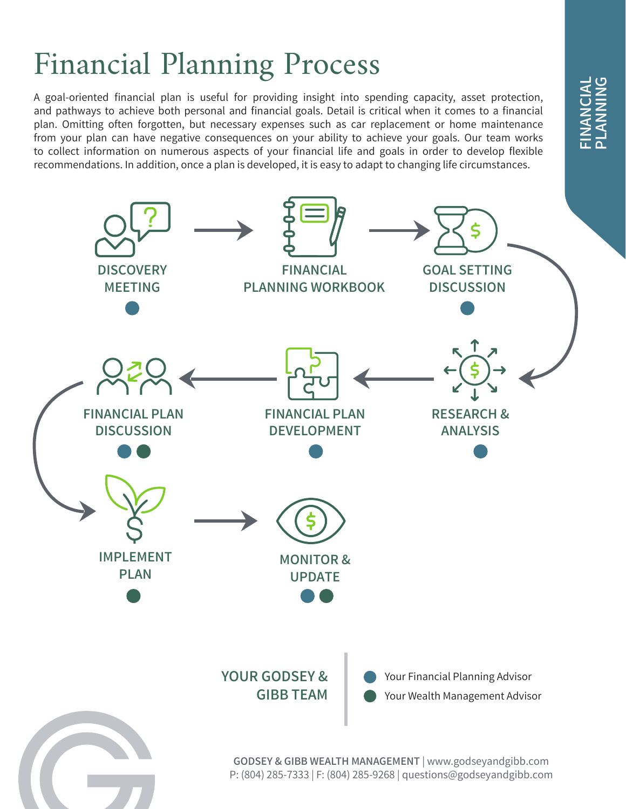## **FINANCIAL**<br>PLANNING FINANCIAL **DNINAN**

# Financial Planning Process

A goal-oriented financial plan is useful for providing insight into spending capacity, asset protection, and pathways to achieve both personal and financial goals. Detail is critical when it comes to a financial plan. Omitting often forgotten, but necessary expenses such as car replacement or home maintenance from your plan can have negative consequences on your ability to achieve your goals. Our team works to collect information on numerous aspects of your financial life and goals in order to develop flexible recommendations. In addition, once a plan is developed, it is easy to adapt to changing life circumstances.